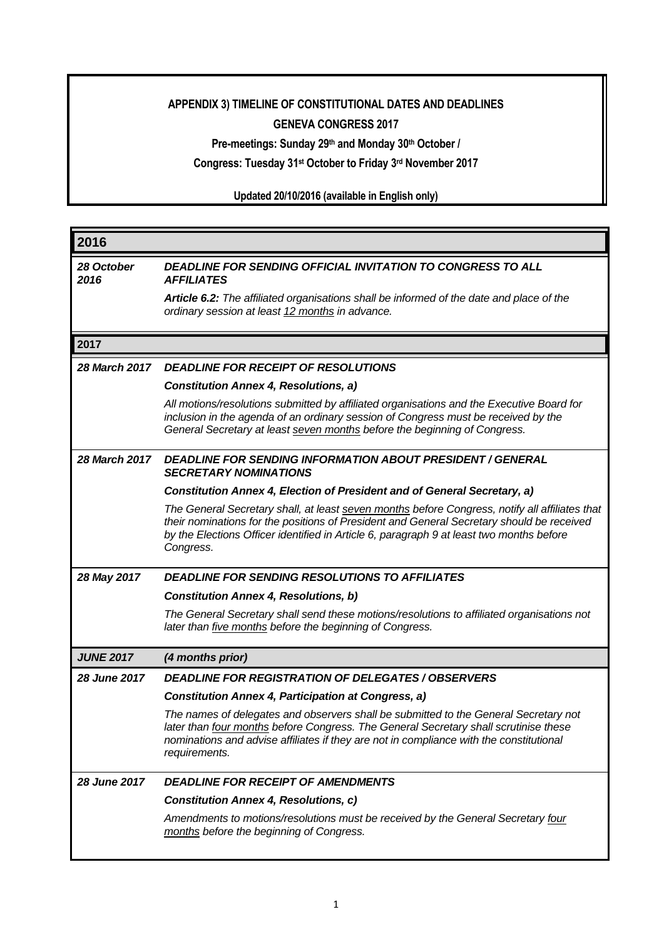## **APPENDIX 3) TIMELINE OF CONSTITUTIONAL DATES AND DEADLINES**

## **GENEVA CONGRESS 2017**

**Pre-meetings: Sunday 29th and Monday 30th October /** 

## **Congress: Tuesday 31st October to Friday 3rd November 2017**

**Updated 20/10/2016 (available in English only)**

| 2016               |                                                                                                                                                                                                                                                                                                      |
|--------------------|------------------------------------------------------------------------------------------------------------------------------------------------------------------------------------------------------------------------------------------------------------------------------------------------------|
| 28 October<br>2016 | <b>DEADLINE FOR SENDING OFFICIAL INVITATION TO CONGRESS TO ALL</b><br><b>AFFILIATES</b>                                                                                                                                                                                                              |
|                    | Article 6.2: The affiliated organisations shall be informed of the date and place of the<br>ordinary session at least 12 months in advance.                                                                                                                                                          |
| 2017               |                                                                                                                                                                                                                                                                                                      |
| 28 March 2017      | <b>DEADLINE FOR RECEIPT OF RESOLUTIONS</b>                                                                                                                                                                                                                                                           |
|                    | <b>Constitution Annex 4, Resolutions, a)</b>                                                                                                                                                                                                                                                         |
|                    | All motions/resolutions submitted by affiliated organisations and the Executive Board for<br>inclusion in the agenda of an ordinary session of Congress must be received by the<br>General Secretary at least seven months before the beginning of Congress.                                         |
| 28 March 2017      | <b>DEADLINE FOR SENDING INFORMATION ABOUT PRESIDENT / GENERAL</b><br><b>SECRETARY NOMINATIONS</b>                                                                                                                                                                                                    |
|                    | Constitution Annex 4, Election of President and of General Secretary, a)                                                                                                                                                                                                                             |
|                    | The General Secretary shall, at least seven months before Congress, notify all affiliates that<br>their nominations for the positions of President and General Secretary should be received<br>by the Elections Officer identified in Article 6, paragraph 9 at least two months before<br>Congress. |
| 28 May 2017        | <b>DEADLINE FOR SENDING RESOLUTIONS TO AFFILIATES</b>                                                                                                                                                                                                                                                |
|                    | <b>Constitution Annex 4, Resolutions, b)</b>                                                                                                                                                                                                                                                         |
|                    | The General Secretary shall send these motions/resolutions to affiliated organisations not<br>later than five months before the beginning of Congress.                                                                                                                                               |
| <b>JUNE 2017</b>   | (4 months prior)                                                                                                                                                                                                                                                                                     |
| 28 June 2017       | <b>DEADLINE FOR REGISTRATION OF DELEGATES / OBSERVERS</b>                                                                                                                                                                                                                                            |
|                    | <b>Constitution Annex 4, Participation at Congress, a)</b>                                                                                                                                                                                                                                           |
|                    | The names of delegates and observers shall be submitted to the General Secretary not<br>later than four months before Congress. The General Secretary shall scrutinise these<br>nominations and advise affiliates if they are not in compliance with the constitutional<br>requirements.             |
| 28 June 2017       | <b>DEADLINE FOR RECEIPT OF AMENDMENTS</b>                                                                                                                                                                                                                                                            |
|                    | <b>Constitution Annex 4, Resolutions, c)</b>                                                                                                                                                                                                                                                         |
|                    | Amendments to motions/resolutions must be received by the General Secretary four<br>months before the beginning of Congress.                                                                                                                                                                         |